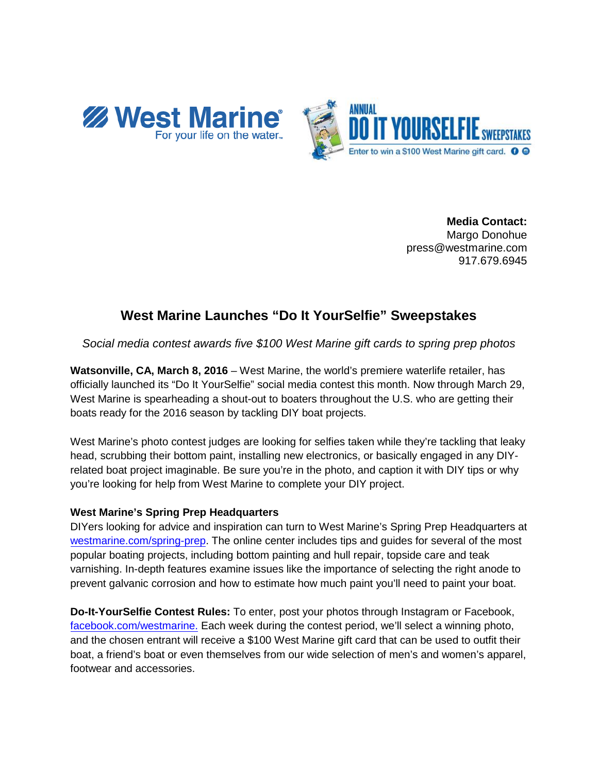



**Media Contact:** Margo Donohue press@westmarine.com 917.679.6945

## **West Marine Launches "Do It YourSelfie" Sweepstakes**

*Social media contest awards five \$100 West Marine gift cards to spring prep photos*

**Watsonville, CA, March 8, 2016** – West Marine, the world's premiere waterlife retailer, has officially launched its "Do It YourSelfie" social media contest this month. Now through March 29, West Marine is spearheading a shout-out to boaters throughout the U.S. who are getting their boats ready for the 2016 season by tackling DIY boat projects.

West Marine's photo contest judges are looking for selfies taken while they're tackling that leaky head, scrubbing their bottom paint, installing new electronics, or basically engaged in any DIYrelated boat project imaginable. Be sure you're in the photo, and caption it with DIY tips or why you're looking for help from West Marine to complete your DIY project.

## **West Marine's Spring Prep Headquarters**

DIYers looking for advice and inspiration can turn to West Marine's Spring Prep Headquarters at [westmarine.com/spring-prep.](http://westmarine.com/spring-prep) The online center includes tips and guides for several of the most popular boating projects, including bottom painting and hull repair, topside care and teak varnishing. In-depth features examine issues like the importance of selecting the right anode to prevent galvanic corrosion and how to estimate how much paint you'll need to paint your boat.

**Do-It-YourSelfie Contest Rules:** To enter, post your photos through Instagram or Facebook, [facebook.com/westmarine.](https://www.facebook.com/WestMarine) Each week during the contest period, we'll select a winning photo, and the chosen entrant will receive a \$100 West Marine gift card that can be used to outfit their boat, a friend's boat or even themselves from our wide selection of men's and women's apparel, footwear and accessories.